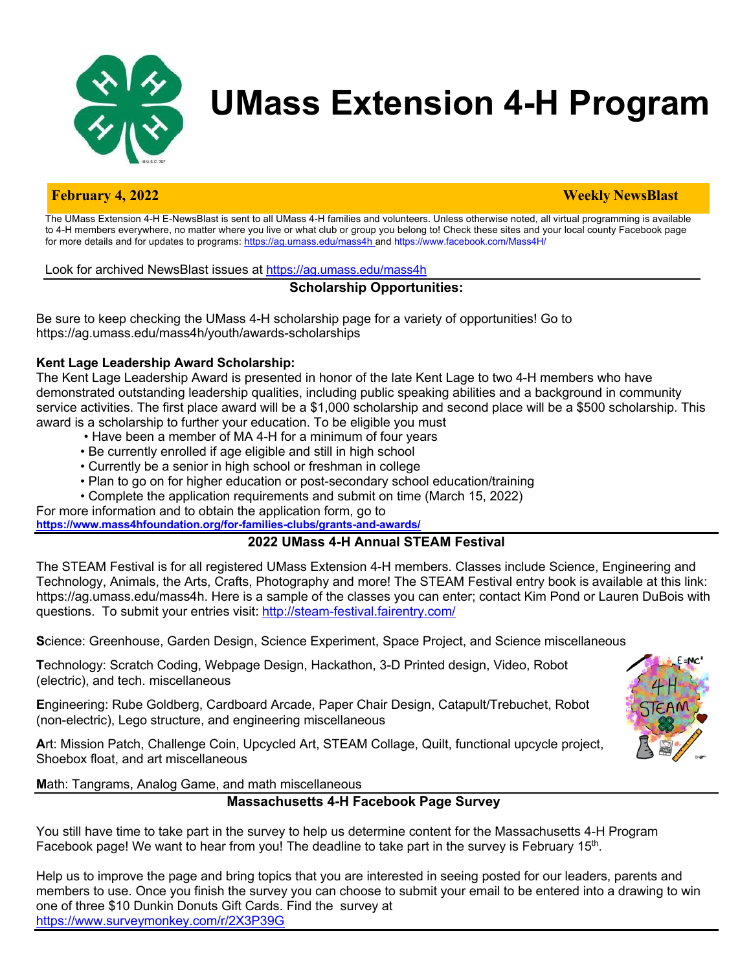

# **UMass Extension 4-H Program**

#### **February 4, 2022 Weekly NewsBlast**

The UMass Extension 4-H E-NewsBlast is sent to all UMass 4-H families and volunteers. Unless otherwise noted, all virtual programming is available to 4-H members everywhere, no matter where you live or what club or group you belong to! Check these sites and your local county Facebook page for more details and for updates to programs: https://ag.umass.edu/mass4h and https://www.facebook.com/Mass4H/

Look for archived NewsBlast issues at https://ag.umass.edu/mass4h

### **Scholarship Opportunities:**

Be sure to keep checking the UMass 4-H scholarship page for a variety of opportunities! Go to https://ag.umass.edu/mass4h/youth/awards-scholarships

### **Kent Lage Leadership Award Scholarship:**

The Kent Lage Leadership Award is presented in honor of the late Kent Lage to two 4-H members who have demonstrated outstanding leadership qualities, including public speaking abilities and a background in community service activities. The first place award will be a \$1,000 scholarship and second place will be a \$500 scholarship. This award is a scholarship to further your education. To be eligible you must

- Have been a member of MA 4-H for a minimum of four years
- Be currently enrolled if age eligible and still in high school
- Currently be a senior in high school or freshman in college
- Plan to go on for higher education or post-secondary school education/training
- Complete the application requirements and submit on time (March 15, 2022)

For more information and to obtain the application form, go to **https://www.mass4hfoundation.org/for-families-clubs/grants-and-awards/**

### **2022 UMass 4-H Annual STEAM Festival**

The STEAM Festival is for all registered UMass Extension 4-H members. Classes include Science, Engineering and Technology, Animals, the Arts, Crafts, Photography and more! The STEAM Festival entry book is available at this link: https://ag.umass.edu/mass4h. Here is a sample of the classes you can enter; contact Kim Pond or Lauren DuBois with questions. To submit your entries visit: http://steam-festival.fairentry.com/

**S**cience: Greenhouse, Garden Design, Science Experiment, Space Project, and Science miscellaneous

**T**echnology: Scratch Coding, Webpage Design, Hackathon, 3-D Printed design, Video, Robot (electric), and tech. miscellaneous

**E**ngineering: Rube Goldberg, Cardboard Arcade, Paper Chair Design, Catapult/Trebuchet, Robot (non-electric), Lego structure, and engineering miscellaneous

**A**rt: Mission Patch, Challenge Coin, Upcycled Art, STEAM Collage, Quilt, functional upcycle project, Shoebox float, and art miscellaneous



**M**ath: Tangrams, Analog Game, and math miscellaneous

### **Massachusetts 4-H Facebook Page Survey**

You still have time to take part in the survey to help us determine content for the Massachusetts 4-H Program Facebook page! We want to hear from you! The deadline to take part in the survey is February 15<sup>th</sup>.

Help us to improve the page and bring topics that you are interested in seeing posted for our leaders, parents and members to use. Once you finish the survey you can choose to submit your email to be entered into a drawing to win one of three \$10 Dunkin Donuts Gift Cards. Find the survey at https://www.surveymonkey.com/r/2X3P39G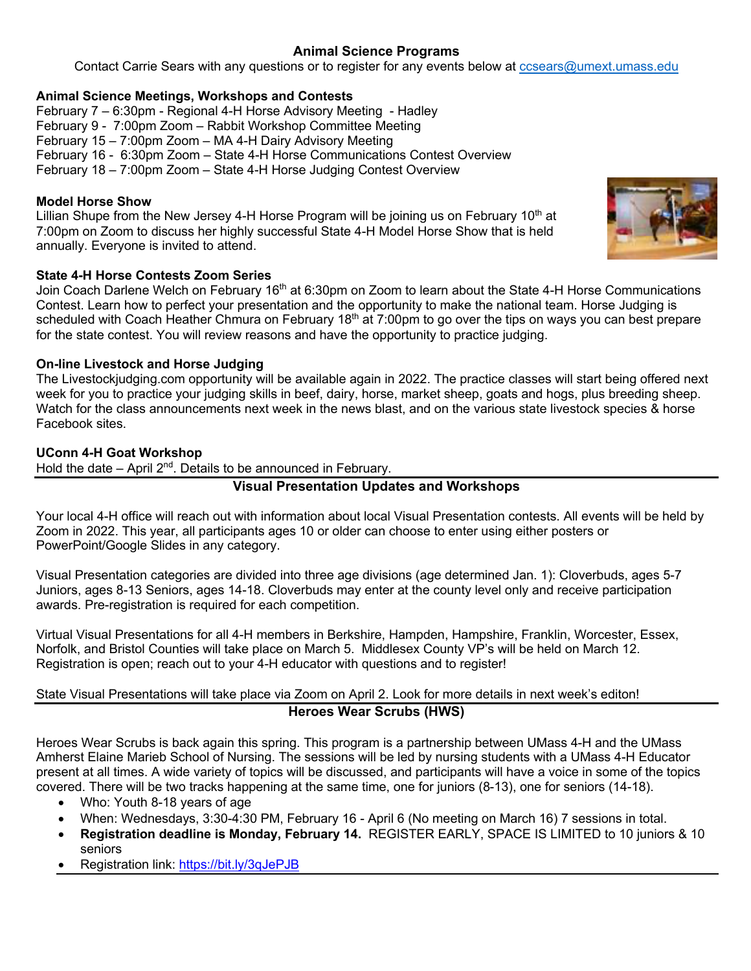# **Animal Science Programs**

Contact Carrie Sears with any questions or to register for any events below at ccsears@umext.umass.edu

#### **Animal Science Meetings, Workshops and Contests**

February 7 – 6:30pm - Regional 4-H Horse Advisory Meeting - Hadley February 9 - 7:00pm Zoom – Rabbit Workshop Committee Meeting February 15 – 7:00pm Zoom – MA 4-H Dairy Advisory Meeting February 16 - 6:30pm Zoom – State 4-H Horse Communications Contest Overview February 18 – 7:00pm Zoom – State 4-H Horse Judging Contest Overview

#### **Model Horse Show**

Lillian Shupe from the New Jersey 4-H Horse Program will be joining us on February  $10<sup>th</sup>$  at 7:00pm on Zoom to discuss her highly successful State 4-H Model Horse Show that is held annually. Everyone is invited to attend.

#### **State 4-H Horse Contests Zoom Series**

Join Coach Darlene Welch on February 16<sup>th</sup> at 6:30pm on Zoom to learn about the State 4-H Horse Communications Contest. Learn how to perfect your presentation and the opportunity to make the national team. Horse Judging is scheduled with Coach Heather Chmura on February 18<sup>th</sup> at 7:00pm to go over the tips on ways you can best prepare for the state contest. You will review reasons and have the opportunity to practice judging.

#### **On-line Livestock and Horse Judging**

The Livestockjudging.com opportunity will be available again in 2022. The practice classes will start being offered next week for you to practice your judging skills in beef, dairy, horse, market sheep, goats and hogs, plus breeding sheep. Watch for the class announcements next week in the news blast, and on the various state livestock species & horse Facebook sites.

#### **UConn 4-H Goat Workshop**

Hold the date – April  $2^{nd}$ . Details to be announced in February.

### **Visual Presentation Updates and Workshops**

Your local 4-H office will reach out with information about local Visual Presentation contests. All events will be held by Zoom in 2022. This year, all participants ages 10 or older can choose to enter using either posters or PowerPoint/Google Slides in any category.

Visual Presentation categories are divided into three age divisions (age determined Jan. 1): Cloverbuds, ages 5-7 Juniors, ages 8-13 Seniors, ages 14-18. Cloverbuds may enter at the county level only and receive participation awards. Pre-registration is required for each competition.

Virtual Visual Presentations for all 4-H members in Berkshire, Hampden, Hampshire, Franklin, Worcester, Essex, Norfolk, and Bristol Counties will take place on March 5. Middlesex County VP's will be held on March 12. Registration is open; reach out to your 4-H educator with questions and to register!

### State Visual Presentations will take place via Zoom on April 2. Look for more details in next week's editon! **Heroes Wear Scrubs (HWS)**

Heroes Wear Scrubs is back again this spring. This program is a partnership between UMass 4-H and the UMass Amherst Elaine Marieb School of Nursing. The sessions will be led by nursing students with a UMass 4-H Educator present at all times. A wide variety of topics will be discussed, and participants will have a voice in some of the topics covered. There will be two tracks happening at the same time, one for juniors (8-13), one for seniors (14-18).

- Who: Youth 8-18 years of age
- When: Wednesdays, 3:30-4:30 PM, February 16 April 6 (No meeting on March 16) 7 sessions in total.
- **Registration deadline is Monday, February 14.** REGISTER EARLY, SPACE IS LIMITED to 10 juniors & 10 seniors
- Registration link: https://bit.ly/3qJePJB

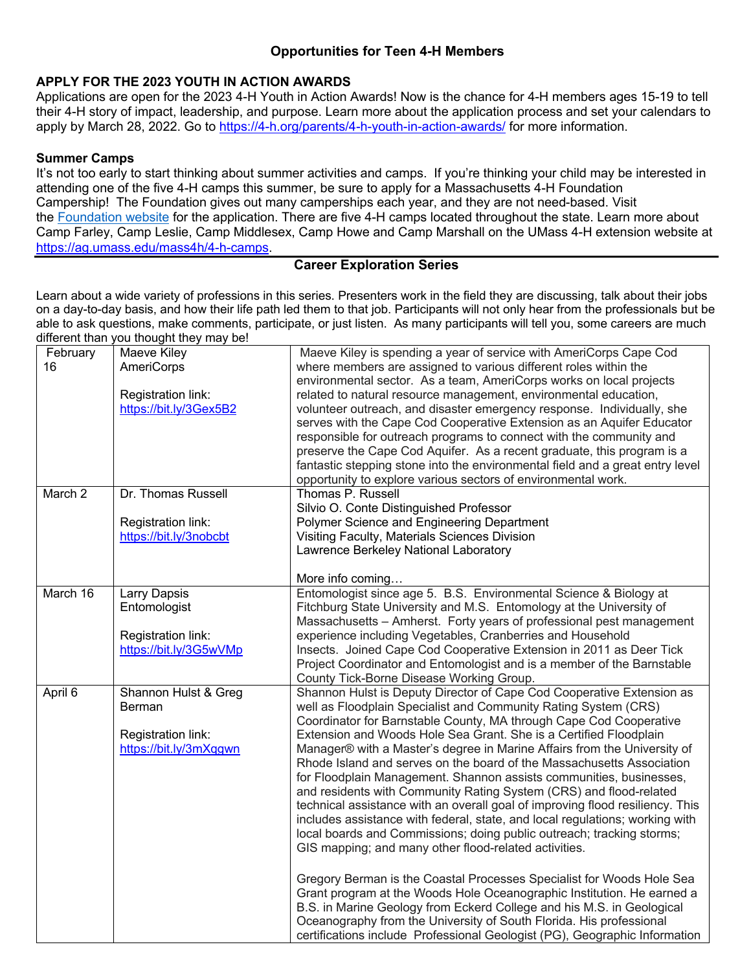### **Opportunities for Teen 4-H Members**

#### **APPLY FOR THE 2023 YOUTH IN ACTION AWARDS**

Applications are open for the 2023 4-H Youth in Action Awards! Now is the chance for 4-H members ages 15-19 to tell their 4-H story of impact, leadership, and purpose. Learn more about the application process and set your calendars to apply by March 28, 2022. Go to https://4-h.org/parents/4-h-youth-in-action-awards/ for more information.

#### **Summer Camps**

It's not too early to start thinking about summer activities and camps. If you're thinking your child may be interested in attending one of the five 4-H camps this summer, be sure to apply for a Massachusetts 4-H Foundation Campership! The Foundation gives out many camperships each year, and they are not need-based. Visit the Foundation website for the application. There are five 4-H camps located throughout the state. Learn more about Camp Farley, Camp Leslie, Camp Middlesex, Camp Howe and Camp Marshall on the UMass 4-H extension website at https://ag.umass.edu/mass4h/4-h-camps.

#### **Career Exploration Series**

Learn about a wide variety of professions in this series. Presenters work in the field they are discussing, talk about their jobs on a day-to-day basis, and how their life path led them to that job. Participants will not only hear from the professionals but be able to ask questions, make comments, participate, or just listen. As many participants will tell you, some careers are much different than you thought they may be!

| February | Maeve Kiley            | Maeve Kiley is spending a year of service with AmeriCorps Cape Cod            |
|----------|------------------------|-------------------------------------------------------------------------------|
| 16       | AmeriCorps             | where members are assigned to various different roles within the              |
|          |                        | environmental sector. As a team, AmeriCorps works on local projects           |
|          | Registration link:     | related to natural resource management, environmental education,              |
|          | https://bit.ly/3Gex5B2 | volunteer outreach, and disaster emergency response. Individually, she        |
|          |                        | serves with the Cape Cod Cooperative Extension as an Aquifer Educator         |
|          |                        | responsible for outreach programs to connect with the community and           |
|          |                        | preserve the Cape Cod Aquifer. As a recent graduate, this program is a        |
|          |                        | fantastic stepping stone into the environmental field and a great entry level |
|          |                        | opportunity to explore various sectors of environmental work.                 |
| March 2  | Dr. Thomas Russell     | Thomas P. Russell                                                             |
|          |                        | Silvio O. Conte Distinguished Professor                                       |
|          | Registration link:     | Polymer Science and Engineering Department                                    |
|          | https://bit.ly/3nobcbt | Visiting Faculty, Materials Sciences Division                                 |
|          |                        | Lawrence Berkeley National Laboratory                                         |
|          |                        |                                                                               |
|          |                        | More info coming                                                              |
| March 16 | Larry Dapsis           | Entomologist since age 5. B.S. Environmental Science & Biology at             |
|          | Entomologist           | Fitchburg State University and M.S. Entomology at the University of           |
|          |                        | Massachusetts - Amherst. Forty years of professional pest management          |
|          | Registration link:     | experience including Vegetables, Cranberries and Household                    |
|          | https://bit.ly/3G5wVMp | Insects. Joined Cape Cod Cooperative Extension in 2011 as Deer Tick           |
|          |                        | Project Coordinator and Entomologist and is a member of the Barnstable        |
|          |                        | County Tick-Borne Disease Working Group.                                      |
| April 6  | Shannon Hulst & Greg   | Shannon Hulst is Deputy Director of Cape Cod Cooperative Extension as         |
|          | Berman                 | well as Floodplain Specialist and Community Rating System (CRS)               |
|          |                        | Coordinator for Barnstable County, MA through Cape Cod Cooperative            |
|          | Registration link:     | Extension and Woods Hole Sea Grant. She is a Certified Floodplain             |
|          | https://bit.ly/3mXqgwn | Manager® with a Master's degree in Marine Affairs from the University of      |
|          |                        | Rhode Island and serves on the board of the Massachusetts Association         |
|          |                        | for Floodplain Management. Shannon assists communities, businesses,           |
|          |                        | and residents with Community Rating System (CRS) and flood-related            |
|          |                        | technical assistance with an overall goal of improving flood resiliency. This |
|          |                        | includes assistance with federal, state, and local regulations; working with  |
|          |                        | local boards and Commissions; doing public outreach; tracking storms;         |
|          |                        | GIS mapping; and many other flood-related activities.                         |
|          |                        |                                                                               |
|          |                        | Gregory Berman is the Coastal Processes Specialist for Woods Hole Sea         |
|          |                        | Grant program at the Woods Hole Oceanographic Institution. He earned a        |
|          |                        | B.S. in Marine Geology from Eckerd College and his M.S. in Geological         |
|          |                        | Oceanography from the University of South Florida. His professional           |
|          |                        | certifications include Professional Geologist (PG), Geographic Information    |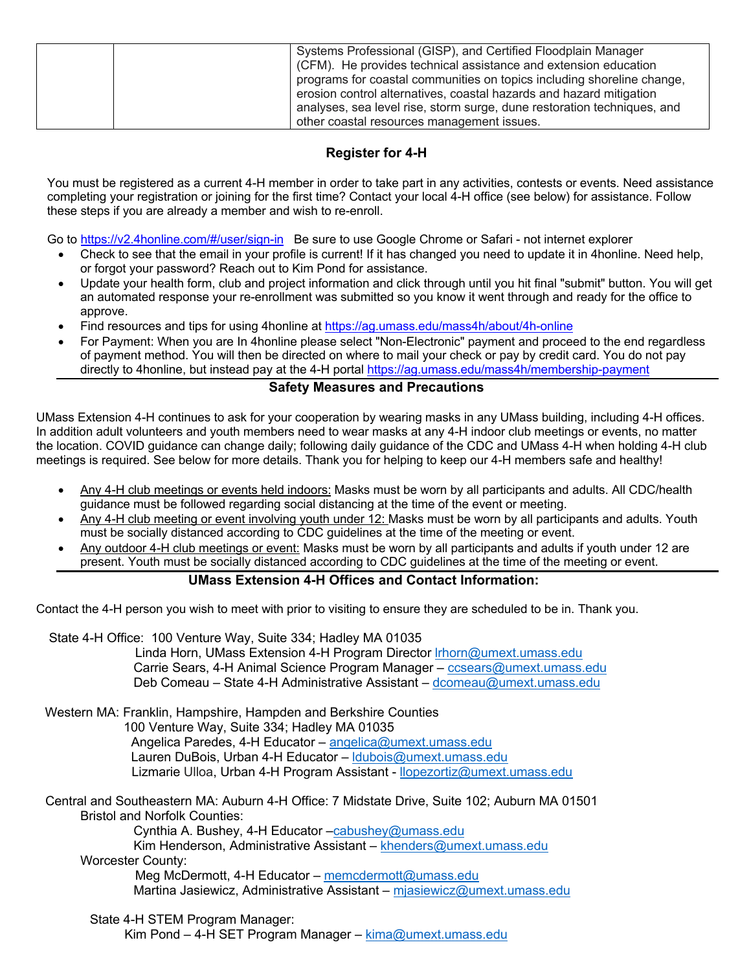| Systems Professional (GISP), and Certified Floodplain Manager           |
|-------------------------------------------------------------------------|
|                                                                         |
| (CFM). He provides technical assistance and extension education         |
| programs for coastal communities on topics including shoreline change,  |
| erosion control alternatives, coastal hazards and hazard mitigation     |
| analyses, sea level rise, storm surge, dune restoration techniques, and |
| other coastal resources management issues.                              |

# **Register for 4-H**

You must be registered as a current 4-H member in order to take part in any activities, contests or events. Need assistance completing your registration or joining for the first time? Contact your local 4-H office (see below) for assistance. Follow these steps if you are already a member and wish to re-enroll.

Go to https://v2.4honline.com/#/user/sign-in Be sure to use Google Chrome or Safari - not internet explorer

- Check to see that the email in your profile is current! If it has changed you need to update it in 4honline. Need help, or forgot your password? Reach out to Kim Pond for assistance.
- Update your health form, club and project information and click through until you hit final "submit" button. You will get an automated response your re-enrollment was submitted so you know it went through and ready for the office to approve.
- Find resources and tips for using 4honline at https://ag.umass.edu/mass4h/about/4h-online
- For Payment: When you are In 4honline please select "Non-Electronic" payment and proceed to the end regardless of payment method. You will then be directed on where to mail your check or pay by credit card. You do not pay directly to 4honline, but instead pay at the 4-H portal https://ag.umass.edu/mass4h/membership-payment

## **Safety Measures and Precautions**

UMass Extension 4-H continues to ask for your cooperation by wearing masks in any UMass building, including 4-H offices. In addition adult volunteers and youth members need to wear masks at any 4-H indoor club meetings or events, no matter the location. COVID guidance can change daily; following daily guidance of the CDC and UMass 4-H when holding 4-H club meetings is required. See below for more details. Thank you for helping to keep our 4-H members safe and healthy!

- Any 4-H club meetings or events held indoors: Masks must be worn by all participants and adults. All CDC/health guidance must be followed regarding social distancing at the time of the event or meeting.
- Any 4-H club meeting or event involving youth under 12: Masks must be worn by all participants and adults. Youth must be socially distanced according to CDC guidelines at the time of the meeting or event.
- Any outdoor 4-H club meetings or event: Masks must be worn by all participants and adults if youth under 12 are present. Youth must be socially distanced according to CDC guidelines at the time of the meeting or event.

# **UMass Extension 4-H Offices and Contact Information:**

Contact the 4-H person you wish to meet with prior to visiting to ensure they are scheduled to be in. Thank you.

State 4-H Office: 100 Venture Way, Suite 334; Hadley MA 01035 Linda Horn, UMass Extension 4-H Program Director lrhorn@umext.umass.edu Carrie Sears, 4-H Animal Science Program Manager – ccsears@umext.umass.edu Deb Comeau – State 4-H Administrative Assistant – dcomeau@umext.umass.edu

Western MA: Franklin, Hampshire, Hampden and Berkshire Counties 100 Venture Way, Suite 334; Hadley MA 01035 Angelica Paredes, 4-H Educator – angelica@umext.umass.edu Lauren DuBois, Urban 4-H Educator – ldubois@umext.umass.edu Lizmarie Ulloa, Urban 4-H Program Assistant - llopezortiz@umext.umass.edu

Central and Southeastern MA: Auburn 4-H Office: 7 Midstate Drive, Suite 102; Auburn MA 01501 Bristol and Norfolk Counties:

Cynthia A. Bushey, 4-H Educator –cabushey@umass.edu

Kim Henderson, Administrative Assistant – khenders@umext.umass.edu Worcester County:

Meg McDermott, 4-H Educator – memcdermott@umass.edu Martina Jasiewicz, Administrative Assistant – mjasiewicz@umext.umass.edu

 State 4-H STEM Program Manager: Kim Pond – 4-H SET Program Manager – kima@umext.umass.edu